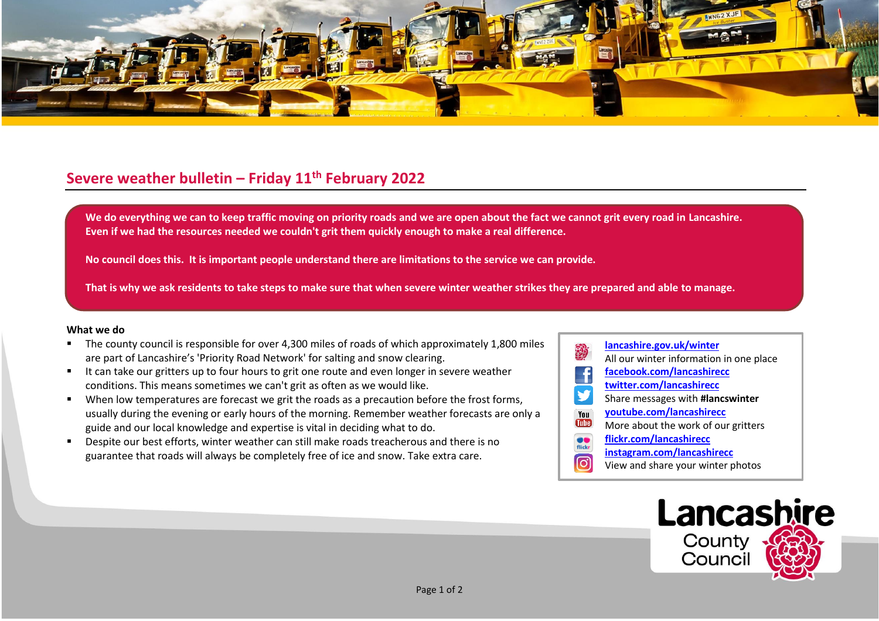

## **Severe weather bulletin – Friday 11th February 2022**

We do everything we can to keep traffic moving on priority roads and we are open about the fact we cannot grit every road in Lancashire. **Even if we had the resources needed we couldn't grit them quickly enough to make a real difference.**

**No council does this. It is important people understand there are limitations to the service we can provide.**

**That is why we ask residents to take steps to make sure that when severe winter weather strikes they are prepared and able to manage.**

## **What we do**

- The county council is responsible for over 4,300 miles of roads of which approximately 1,800 miles are part of Lancashire's 'Priority Road Network' for salting and snow clearing.
- It can take our gritters up to four hours to grit one route and even longer in severe weather conditions. This means sometimes we can't grit as often as we would like.
- When low temperatures are forecast we grit the roads as a precaution before the frost forms, usually during the evening or early hours of the morning. Remember weather forecasts are only a guide and our local knowledge and expertise is vital in deciding what to do.
- Despite our best efforts, winter weather can still make roads treacherous and there is no guarantee that roads will always be completely free of ice and snow. Take extra care.
- **[lancashire.gov.uk/winter](http://www.lancashire.gov.uk/winter)** All our winter information in one place **[facebook.com/lancashirecc](http://www.facebook.com/lancashirecc) [twitter.com/lancashirecc](http://www.twitter.com/lancashirecc)** y Share messages with **#lancswinter [youtube.com/lancashirecc](http://www.youtube.com/lancashirecc)** You **Tilte** More about the work of our gritters  $\bullet$ **[flickr.com/lancashirecc](http://www.flickr.com/lancashirecc)** flickr **[instagram.com/lancashirecc](http://www.instagram.com/lancashirecc)** ြင View and share your winter photos